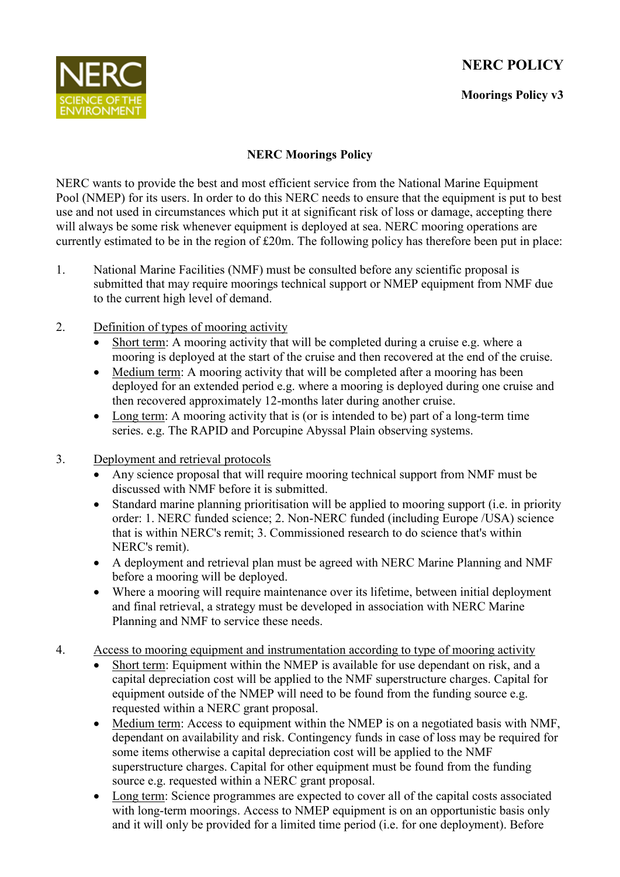## **NERC POLICY**



## **Moorings Policy v3**

## **NERC Moorings Policy**

NERC wants to provide the best and most efficient service from the National Marine Equipment Pool (NMEP) for its users. In order to do this NERC needs to ensure that the equipment is put to best use and not used in circumstances which put it at significant risk of loss or damage, accepting there will always be some risk whenever equipment is deployed at sea. NERC mooring operations are currently estimated to be in the region of £20m. The following policy has therefore been put in place:

- 1. National Marine Facilities (NMF) must be consulted before any scientific proposal is submitted that may require moorings technical support or NMEP equipment from NMF due to the current high level of demand.
- 2. Definition of types of mooring activity
	- Short term: A mooring activity that will be completed during a cruise e.g. where a mooring is deployed at the start of the cruise and then recovered at the end of the cruise.
	- Medium term: A mooring activity that will be completed after a mooring has been deployed for an extended period e.g. where a mooring is deployed during one cruise and then recovered approximately 12-months later during another cruise.
	- Long term: A mooring activity that is (or is intended to be) part of a long-term time series. e.g. The RAPID and Porcupine Abyssal Plain observing systems.
- 3. Deployment and retrieval protocols
	- Any science proposal that will require mooring technical support from NMF must be discussed with NMF before it is submitted.
	- Standard marine planning prioritisation will be applied to mooring support (i.e. in priority order: 1. NERC funded science; 2. Non-NERC funded (including Europe /USA) science that is within NERC's remit; 3. Commissioned research to do science that's within NERC's remit).
	- A deployment and retrieval plan must be agreed with NERC Marine Planning and NMF before a mooring will be deployed.
	- Where a mooring will require maintenance over its lifetime, between initial deployment and final retrieval, a strategy must be developed in association with NERC Marine Planning and NMF to service these needs.
- 4. Access to mooring equipment and instrumentation according to type of mooring activity
	- Short term: Equipment within the NMEP is available for use dependant on risk, and a capital depreciation cost will be applied to the NMF superstructure charges. Capital for equipment outside of the NMEP will need to be found from the funding source e.g. requested within a NERC grant proposal.
	- Medium term: Access to equipment within the NMEP is on a negotiated basis with NMF, dependant on availability and risk. Contingency funds in case of loss may be required for some items otherwise a capital depreciation cost will be applied to the NMF superstructure charges. Capital for other equipment must be found from the funding source e.g. requested within a NERC grant proposal.
	- Long term: Science programmes are expected to cover all of the capital costs associated with long-term moorings. Access to NMEP equipment is on an opportunistic basis only and it will only be provided for a limited time period (i.e. for one deployment). Before